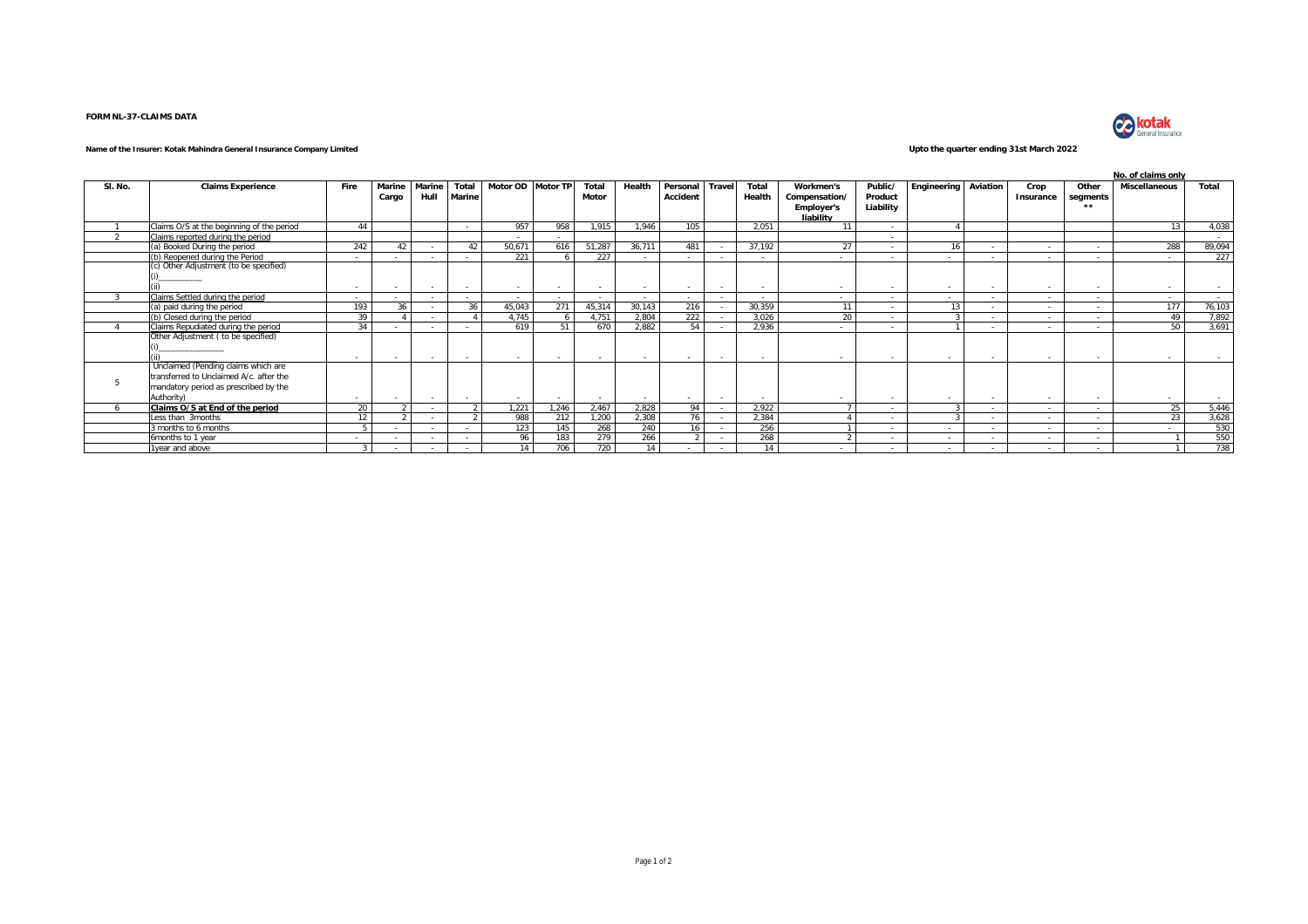## **FORM NL-37-CLAIMS DATA**



## **Name of the Insurer: Kotak Mahindra General Insurance Company Limited Upto the quarter ending 31st March 2022**

|         |                                           |                          |        |        |               |                   |       |        |        |          |                          |        |                   |           |                |          |           | No. of claims only |                      |                |  |  |  |  |  |  |
|---------|-------------------------------------------|--------------------------|--------|--------|---------------|-------------------|-------|--------|--------|----------|--------------------------|--------|-------------------|-----------|----------------|----------|-----------|--------------------|----------------------|----------------|--|--|--|--|--|--|
| SI. No. | <b>Claims Experience</b>                  | Fire                     | Marine | Marine | Total         | Motor OD Motor TP |       | Total  | Health | Personal | <b>Trave</b>             | Total  | Workmen's         | Public/   | Engineering    | Aviation | Crop      | Other              | <b>Miscellaneous</b> | Total          |  |  |  |  |  |  |
|         |                                           |                          | Cargo  | Hull   | <b>Marine</b> |                   |       | Motor  |        | Accident |                          | Health | Compensation/     | Product   |                |          | Insurance | segments           |                      |                |  |  |  |  |  |  |
|         |                                           |                          |        |        |               |                   |       |        |        |          |                          |        | <b>Employer's</b> | Liability |                |          |           | $+ +$              |                      |                |  |  |  |  |  |  |
|         |                                           |                          |        |        |               |                   |       |        |        |          |                          |        | liability         |           |                |          |           |                    |                      |                |  |  |  |  |  |  |
|         | Claims O/S at the beginning of the period | 44                       |        |        | $\sim$        | 957               | 958   | 1.915  | 1.946  | 105      |                          | 2.051  | 11                | $\sim$    |                |          |           |                    | 13                   | 4,038          |  |  |  |  |  |  |
|         | Claims reported during the period         |                          |        |        |               |                   |       |        |        |          |                          |        |                   | $\sim$    |                |          |           |                    |                      | $\sim$         |  |  |  |  |  |  |
|         | a) Booked During the period               | 242                      | 42     |        | 42            | 50.671            | 616   | 51,287 | 36,711 | 481      |                          | 37,192 | 27                |           | 16             |          |           |                    | 288                  | 89,094         |  |  |  |  |  |  |
|         | (b) Reopened during the Period            |                          |        |        |               | 221               |       | 227    | $\sim$ | $\sim$   |                          | $\sim$ | $\sim$            |           | <b>Section</b> | $\sim$   |           | $\sim$             |                      | 227            |  |  |  |  |  |  |
|         | (c) Other Adjustment (to be specified)    |                          |        |        |               |                   |       |        |        |          |                          |        |                   |           |                |          |           |                    |                      |                |  |  |  |  |  |  |
|         |                                           |                          |        |        |               |                   |       |        |        |          |                          |        |                   |           |                |          |           |                    |                      |                |  |  |  |  |  |  |
|         |                                           | $\sim$                   |        |        |               | $\sim$            |       | $\sim$ | $\sim$ | $\sim$   | $\overline{\phantom{a}}$ |        |                   |           |                |          |           | $\sim$             |                      | $\sim$         |  |  |  |  |  |  |
|         | Claims Settled during the period          |                          |        |        |               | $\sim$            |       |        | $\sim$ | $\sim$   | $\overline{\phantom{a}}$ | $\sim$ | $\sim$            |           | <b>Section</b> |          |           | $\sim$             |                      | <b>Service</b> |  |  |  |  |  |  |
|         | a) paid during the period                 | 193                      | 36     |        | 36            | 45.043            | 271   | 45.314 | 30.143 | 216      | $\sim$                   | 30.359 | 11                | $\sim$    | 13             | $\sim$   | $\sim$    | $\sim$             | 177                  | 76.103         |  |  |  |  |  |  |
|         | (b) Closed during the period              | 39                       |        |        |               | 4.745             |       | 4.751  | 2.804  | 222      |                          | 3.026  | 20                | $\sim$    |                | $\sim$   |           | $\sim$             | 49                   | 7,892          |  |  |  |  |  |  |
|         | Claims Repudiated during the period       | 34                       |        |        |               | 619               | 51    | 670    | 2.882  | 54       | - 4                      | 2.936  | $\sim$            | $\sim$    |                | $\sim$   |           | $\sim$             | 50                   | 3,691          |  |  |  |  |  |  |
|         | Other Adjustment ( to be specified)       |                          |        |        |               |                   |       |        |        |          |                          |        |                   |           |                |          |           |                    |                      |                |  |  |  |  |  |  |
|         |                                           |                          |        |        |               |                   |       |        |        |          |                          |        |                   |           |                |          |           |                    |                      |                |  |  |  |  |  |  |
|         |                                           | $\overline{\phantom{a}}$ |        |        |               |                   |       | $\sim$ | $\sim$ | $\sim$   | $\sim$                   |        |                   |           |                |          |           |                    |                      |                |  |  |  |  |  |  |
|         | Unclaimed (Pending claims which are       |                          |        |        |               |                   |       |        |        |          |                          |        |                   |           |                |          |           |                    |                      |                |  |  |  |  |  |  |
|         | transferred to Unclaimed A/c. after the   |                          |        |        |               |                   |       |        |        |          |                          |        |                   |           |                |          |           |                    |                      |                |  |  |  |  |  |  |
|         | mandatory period as prescribed by the     |                          |        |        |               |                   |       |        |        |          |                          |        |                   |           |                |          |           |                    |                      |                |  |  |  |  |  |  |
|         | Authority)                                | ۰                        |        |        |               | $\sim$            |       | $\sim$ | $\sim$ | $\sim$   | $\sim$                   |        | $\sim$            | $\sim$    |                |          |           | $\sim$             | $\sim$               | <b>Service</b> |  |  |  |  |  |  |
|         | Claims O/S at End of the period           | 20 <sup>2</sup>          |        |        |               | 1.221             | 1.246 | 2.467  | 2,828  | 94       |                          | 2.922  |                   | $\sim$    |                | $\sim$   |           | $\sim$             | 25                   | 5,446          |  |  |  |  |  |  |
|         | Less than 3months                         | 12                       |        |        |               | 988               | 212   | 1.200  | 2.308  | 76       | - 1                      | 2.384  |                   | $\sim$    |                | $\sim$   | $\sim$    | $\sim$             | 23                   | 3,628          |  |  |  |  |  |  |
|         | months to 6 months                        |                          |        |        |               | 123               | 145   | 268    | 240    | 16       |                          | 256    |                   | $\sim$    | $\sim$         | $\sim$   |           | $\sim$             | $\sim$               | 530            |  |  |  |  |  |  |
|         | 6months to 1 year                         |                          |        |        |               | 96                | 183   | 279    | 266    |          |                          | 268    |                   |           | <b>Section</b> |          |           | $\sim$             |                      | 550            |  |  |  |  |  |  |
|         | 1year and above                           |                          |        |        |               | 14                | 706   | 720    | 14     |          |                          | 14     |                   |           | $\sim$         |          |           | $\sim$             |                      | 738            |  |  |  |  |  |  |